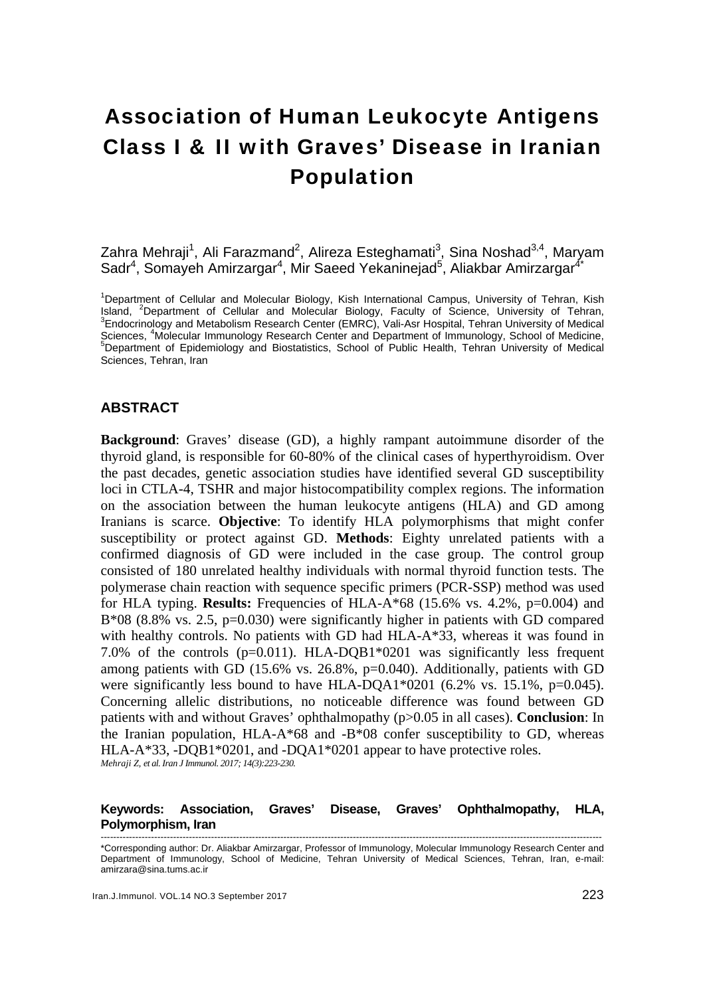# Association of Human Leukocyte Antigens Class I & II with Graves' Disease in Iranian Population

# Zahra Mehraji<sup>1</sup>, Ali Farazmand<sup>2</sup>, Alireza Esteghamati<sup>3</sup>, Sina Noshad<sup>3,4</sup>, Maryam Sadr<sup>4</sup>, Somayeh Amirzargar<sup>4</sup>, Mir Saeed Yekaninejad<sup>5</sup>, Aliakbar Amirzargar<sup>4\*</sup>

<sup>1</sup>Department of Cellular and Molecular Biology, Kish International Campus, University of Tehran, Kish Island, <sup>2</sup>Department of Cellular and Molecular Biology, Faculty of Science, University of Tehran, <sup>3</sup>Endocrinology and Metabolism Research Center (EMRC), Vali-Asr Hospital, Tehran University of Medical Sciences, <sup>4</sup>Molecular Immunology Research Center and Department of Immunology, School of Medicine, Department of Epidemiology and Biostatistics, School of Public Health, Tehran University of Medical Sciences, Tehran, Iran

## **ABSTRACT**

**Background**: Graves' disease (GD), a highly rampant autoimmune disorder of the thyroid gland, is responsible for 60-80% of the clinical cases of hyperthyroidism. Over the past decades, genetic association studies have identified several GD susceptibility loci in CTLA-4, TSHR and major histocompatibility complex regions. The information on the association between the human leukocyte antigens (HLA) and GD among Iranians is scarce. **Objective**: To identify HLA polymorphisms that might confer susceptibility or protect against GD. **Methods**: Eighty unrelated patients with a confirmed diagnosis of GD were included in the case group. The control group consisted of 180 unrelated healthy individuals with normal thyroid function tests. The polymerase chain reaction with sequence specific primers (PCR-SSP) method was used for HLA typing. **Results:** Frequencies of HLA-A\*68 (15.6% vs. 4.2%,  $p=0.004$ ) and B\*08 (8.8% vs. 2.5, p=0.030) were significantly higher in patients with GD compared with healthy controls. No patients with GD had HLA-A\*33, whereas it was found in 7.0% of the controls (p=0.011). HLA-DQB1\*0201 was significantly less frequent among patients with GD (15.6% vs. 26.8%, p=0.040). Additionally, patients with GD were significantly less bound to have HLA-DQA1 $*0201$  (6.2% vs. 15.1%, p=0.045). Concerning allelic distributions, no noticeable difference was found between GD patients with and without Graves' ophthalmopathy (p>0.05 in all cases). **Conclusion**: In the Iranian population,  $HLA- A*68$  and  $-B*08$  confer susceptibility to GD, whereas HLA-A\*33, -DQB1\*0201, and -DQA1\*0201 appear to have protective roles. *Mehraji Z, et al. Iran J Immunol. 2017; 14(3):223-230.* 

#### **Keywords: Association, Graves' Disease, Graves' Ophthalmopathy, HLA, Polymorphism, Iran**

<sup>---------------------------------------------------------------------------------------------------------------------------------------------------------------</sup>  \*Corresponding author: Dr. Aliakbar Amirzargar, Professor of Immunology, Molecular Immunology Research Center and Department of Immunology, School of Medicine, Tehran University of Medical Sciences, Tehran, Iran, e-mail: amirzara@sina.tums.ac.ir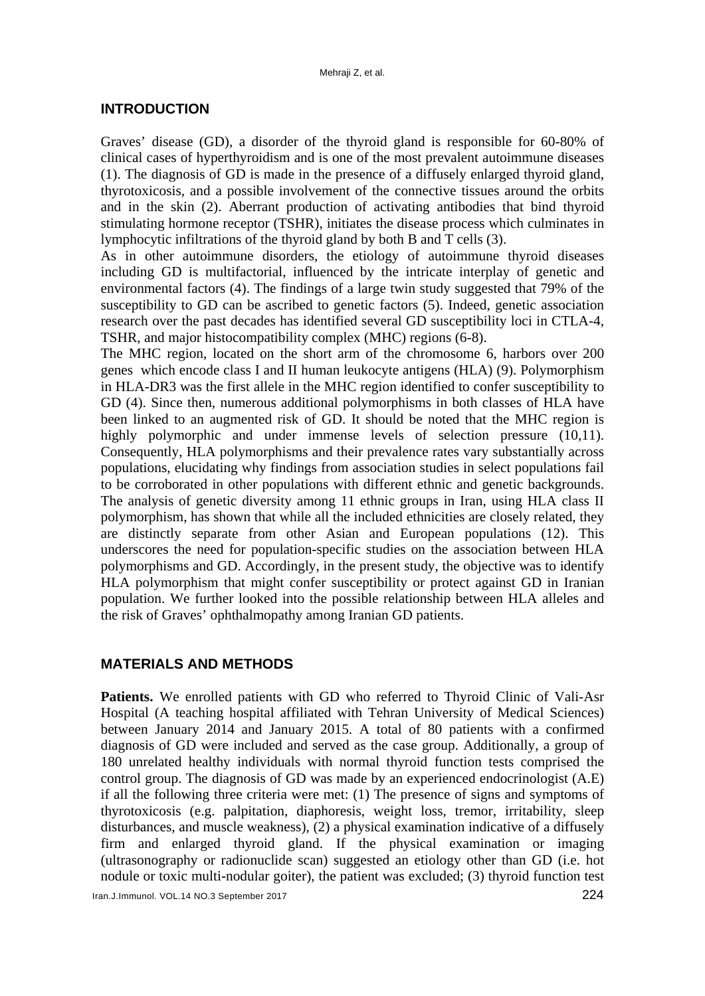#### **INTRODUCTION**

Graves' disease (GD), a disorder of the thyroid gland is responsible for 60-80% of clinical cases of hyperthyroidism and is one of the most prevalent autoimmune diseases (1). The diagnosis of GD is made in the presence of a diffusely enlarged thyroid gland, thyrotoxicosis, and a possible involvement of the connective tissues around the orbits and in the skin (2). Aberrant production of activating antibodies that bind thyroid stimulating hormone receptor (TSHR), initiates the disease process which culminates in lymphocytic infiltrations of the thyroid gland by both B and T cells (3).

As in other autoimmune disorders, the etiology of autoimmune thyroid diseases including GD is multifactorial, influenced by the intricate interplay of genetic and environmental factors (4). The findings of a large twin study suggested that 79% of the susceptibility to GD can be ascribed to genetic factors (5). Indeed, genetic association research over the past decades has identified several GD susceptibility loci in CTLA-4, TSHR, and major histocompatibility complex (MHC) regions (6-8).

The MHC region, located on the short arm of the chromosome 6, harbors over 200 genes which encode class I and II human leukocyte antigens (HLA) (9). Polymorphism in HLA-DR3 was the first allele in the MHC region identified to confer susceptibility to GD (4). Since then, numerous additional polymorphisms in both classes of HLA have been linked to an augmented risk of GD. It should be noted that the MHC region is highly polymorphic and under immense levels of selection pressure (10,11). Consequently, HLA polymorphisms and their prevalence rates vary substantially across populations, elucidating why findings from association studies in select populations fail to be corroborated in other populations with different ethnic and genetic backgrounds. The analysis of genetic diversity among 11 ethnic groups in Iran, using HLA class II polymorphism, has shown that while all the included ethnicities are closely related, they are distinctly separate from other Asian and European populations (12). This underscores the need for population-specific studies on the association between HLA polymorphisms and GD. Accordingly, in the present study, the objective was to identify HLA polymorphism that might confer susceptibility or protect against GD in Iranian population. We further looked into the possible relationship between HLA alleles and the risk of Graves' ophthalmopathy among Iranian GD patients.

## **MATERIALS AND METHODS**

**Patients.** We enrolled patients with GD who referred to Thyroid Clinic of Vali-Asr Hospital (A teaching hospital affiliated with Tehran University of Medical Sciences) between January 2014 and January 2015. A total of 80 patients with a confirmed diagnosis of GD were included and served as the case group. Additionally, a group of 180 unrelated healthy individuals with normal thyroid function tests comprised the control group. The diagnosis of GD was made by an experienced endocrinologist (A.E) if all the following three criteria were met: (1) The presence of signs and symptoms of thyrotoxicosis (e.g. palpitation, diaphoresis, weight loss, tremor, irritability, sleep disturbances, and muscle weakness), (2) a physical examination indicative of a diffusely firm and enlarged thyroid gland. If the physical examination or imaging (ultrasonography or radionuclide scan) suggested an etiology other than GD (i.e. hot nodule or toxic multi-nodular goiter), the patient was excluded; (3) thyroid function test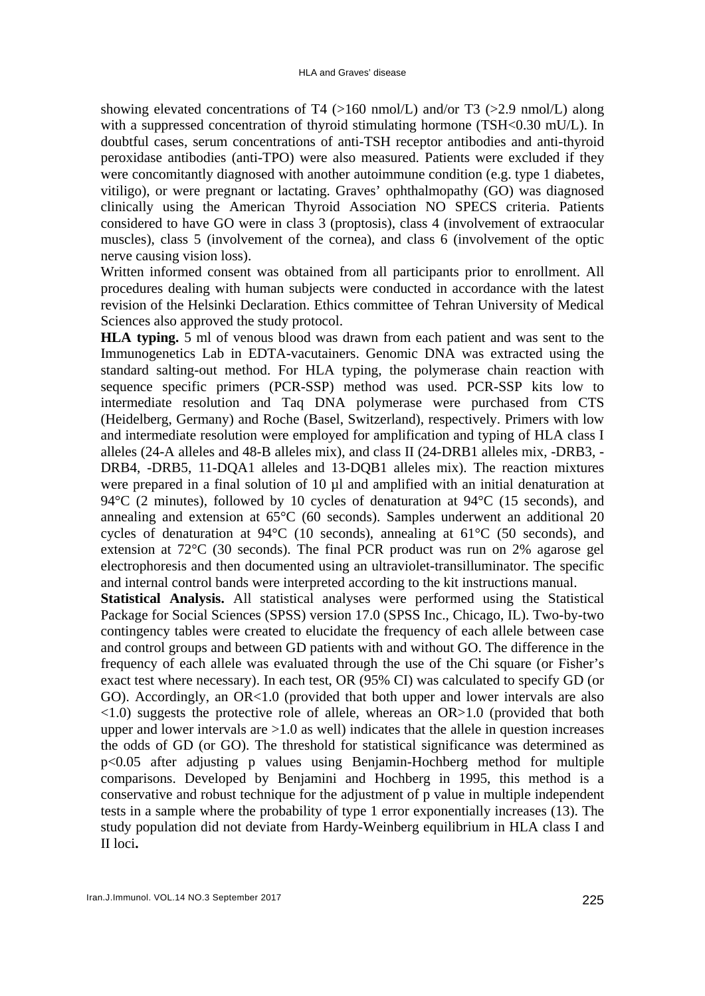showing elevated concentrations of T4 (>160 nmol/L) and/or T3 (>2.9 nmol/L) along with a suppressed concentration of thyroid stimulating hormone (TSH<0.30 mU/L). In doubtful cases, serum concentrations of anti-TSH receptor antibodies and anti-thyroid peroxidase antibodies (anti-TPO) were also measured. Patients were excluded if they were concomitantly diagnosed with another autoimmune condition (e.g. type 1 diabetes, vitiligo), or were pregnant or lactating. Graves' ophthalmopathy (GO) was diagnosed clinically using the American Thyroid Association NO SPECS criteria. Patients considered to have GO were in class 3 (proptosis), class 4 (involvement of extraocular muscles), class 5 (involvement of the cornea), and class 6 (involvement of the optic nerve causing vision loss).

Written informed consent was obtained from all participants prior to enrollment. All procedures dealing with human subjects were conducted in accordance with the latest revision of the Helsinki Declaration. Ethics committee of Tehran University of Medical Sciences also approved the study protocol.

**HLA typing.** 5 ml of venous blood was drawn from each patient and was sent to the Immunogenetics Lab in EDTA-vacutainers. Genomic DNA was extracted using the standard salting-out method. For HLA typing, the polymerase chain reaction with sequence specific primers (PCR-SSP) method was used. PCR-SSP kits low to intermediate resolution and Taq DNA polymerase were purchased from CTS (Heidelberg, Germany) and Roche (Basel, Switzerland), respectively. Primers with low and intermediate resolution were employed for amplification and typing of HLA class I alleles (24-A alleles and 48-B alleles mix), and class II (24-DRB1 alleles mix, -DRB3, - DRB4, -DRB5, 11-DQA1 alleles and 13-DQB1 alleles mix). The reaction mixtures were prepared in a final solution of 10  $\mu$ l and amplified with an initial denaturation at 94 $\rm{°C}$  (2 minutes), followed by 10 cycles of denaturation at 94 $\rm{°C}$  (15 seconds), and annealing and extension at 65°C (60 seconds). Samples underwent an additional 20 cycles of denaturation at 94°C (10 seconds), annealing at 61°C (50 seconds), and extension at 72°C (30 seconds). The final PCR product was run on 2% agarose gel electrophoresis and then documented using an ultraviolet-transilluminator. The specific and internal control bands were interpreted according to the kit instructions manual.

**Statistical Analysis.** All statistical analyses were performed using the Statistical Package for Social Sciences (SPSS) version 17.0 (SPSS Inc., Chicago, IL). Two-by-two contingency tables were created to elucidate the frequency of each allele between case and control groups and between GD patients with and without GO. The difference in the frequency of each allele was evaluated through the use of the Chi square (or Fisher's exact test where necessary). In each test, OR (95% CI) was calculated to specify GD (or GO). Accordingly, an OR<1.0 (provided that both upper and lower intervals are also <1.0) suggests the protective role of allele, whereas an OR>1.0 (provided that both upper and lower intervals are  $>1.0$  as well) indicates that the allele in question increases the odds of GD (or GO). The threshold for statistical significance was determined as p<0.05 after adjusting p values using Benjamin-Hochberg method for multiple comparisons. Developed by Benjamini and Hochberg in 1995, this method is a conservative and robust technique for the adjustment of p value in multiple independent tests in a sample where the probability of type 1 error exponentially increases (13). The study population did not deviate from Hardy-Weinberg equilibrium in HLA class I and II loci**.**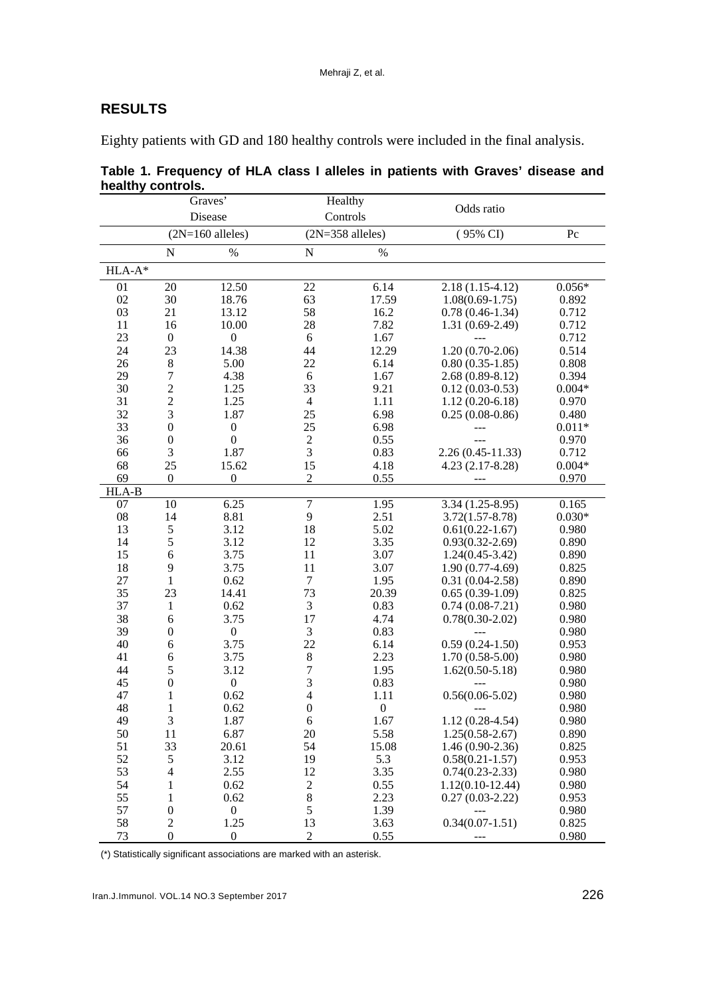# **RESULTS**

Eighty patients with GD and 180 healthy controls were included in the final analysis.

|          |                    | Graves'          |                  | Healthy            |                      |          |
|----------|--------------------|------------------|------------------|--------------------|----------------------|----------|
|          |                    | Disease          |                  | Controls           | Odds ratio           |          |
|          | $(2N=160$ alleles) |                  |                  | $(2N=358$ alleles) | $(95\% \text{ CI})$  | Pc       |
|          | $\mathbf N$        | $\%$             | $\mathbf N$      | $\%$               |                      |          |
| $HLA-A*$ |                    |                  |                  |                    |                      |          |
| 01       | 20                 | 12.50            | 22               | 6.14               | $2.18(1.15-4.12)$    | $0.056*$ |
| 02       | 30                 | 18.76            | 63               | 17.59              | $1.08(0.69-1.75)$    | 0.892    |
| 03       | 21                 | 13.12            | 58               | 16.2               | $0.78(0.46-1.34)$    | 0.712    |
| 11       | 16                 | 10.00            | 28               | 7.82               | $1.31(0.69-2.49)$    | 0.712    |
| 23       | $\overline{0}$     | $\boldsymbol{0}$ | 6                | 1.67               |                      | 0.712    |
| 24       | 23                 | 14.38            | 44               | 12.29              | $1.20(0.70-2.06)$    | 0.514    |
| 26       | $8\,$              | 5.00             | 22               | 6.14               | $0.80(0.35-1.85)$    | 0.808    |
| 29       | $\boldsymbol{7}$   | 4.38             | 6                | 1.67               | $2.68(0.89-8.12)$    | 0.394    |
| 30       | $\overline{c}$     | 1.25             | 33               | 9.21               | $0.12(0.03-0.53)$    | $0.004*$ |
| 31       | $\overline{c}$     | 1.25             | $\overline{4}$   | 1.11               | $1.12(0.20-6.18)$    | 0.970    |
| 32       | 3                  | 1.87             | 25               | 6.98               | $0.25(0.08-0.86)$    | 0.480    |
| 33       | $\boldsymbol{0}$   | $\boldsymbol{0}$ | 25               | 6.98               |                      | $0.011*$ |
| 36       | $\boldsymbol{0}$   | $\boldsymbol{0}$ | $\sqrt{2}$       | 0.55               |                      | 0.970    |
| 66       | 3                  | 1.87             | 3                | 0.83               | $2.26(0.45 - 11.33)$ | 0.712    |
| 68       | 25                 | 15.62            | 15               | 4.18               | $4.23(2.17-8.28)$    | $0.004*$ |
| 69       | $\boldsymbol{0}$   | $\boldsymbol{0}$ | $\overline{2}$   | 0.55               |                      | 0.970    |
| HLA-B    |                    |                  |                  |                    |                      |          |
| 07       | 10                 | 6.25             | $\boldsymbol{7}$ | 1.95               | $3.34(1.25-8.95)$    | 0.165    |
| 08       | 14                 | 8.81             | 9                | 2.51               | $3.72(1.57 - 8.78)$  | $0.030*$ |
| 13       | $\sqrt{5}$         | 3.12             | 18               | 5.02               | $0.61(0.22 - 1.67)$  | 0.980    |
| 14       | 5                  | 3.12             | 12               | 3.35               | $0.93(0.32 - 2.69)$  | 0.890    |
| 15       | 6                  | 3.75             | 11               | 3.07               | $1.24(0.45-3.42)$    | 0.890    |
| 18       | 9                  | 3.75             | 11               | 3.07               | $1.90(0.77-4.69)$    | 0.825    |
| 27       | $\mathbf{1}$       | 0.62             | $\boldsymbol{7}$ | 1.95               | $0.31(0.04-2.58)$    | 0.890    |
| 35       | 23                 | 14.41            | 73               | 20.39              | $0.65(0.39-1.09)$    | 0.825    |
| 37       | $\mathbf{1}$       | 0.62             | $\mathfrak{Z}$   | 0.83               | $0.74(0.08-7.21)$    | 0.980    |
| 38       | 6                  | 3.75             | 17               | 4.74               | $0.78(0.30-2.02)$    | 0.980    |
| 39       | $\boldsymbol{0}$   | $\boldsymbol{0}$ | 3                | 0.83               | $---$                | 0.980    |
| 40       | 6                  | 3.75             | 22               | 6.14               | $0.59(0.24-1.50)$    | 0.953    |
| 41       | 6                  | 3.75             | $\,8\,$          | 2.23               | $1.70(0.58-5.00)$    | 0.980    |
| 44       | 5                  | 3.12             | $\overline{7}$   | 1.95               | $1.62(0.50-5.18)$    | 0.980    |
| 45       | $\boldsymbol{0}$   | $\boldsymbol{0}$ | 3                | 0.83               |                      | 0.980    |
| 47       | 1                  | 0.62             | $\overline{4}$   | 1.11               | $0.56(0.06-5.02)$    | 0.980    |
| 48       | $\mathbf{1}$       | 0.62             | $\boldsymbol{0}$ | $\boldsymbol{0}$   |                      | 0.980    |
| 49       | $\mathfrak{Z}$     | 1.87             | $\sqrt{6}$       | 1.67               | $1.12(0.28-4.54)$    | 0.980    |
| 50       | 11                 | 6.87             | 20               | 5.58               | $1.25(0.58 - 2.67)$  | 0.890    |
| 51       | 33                 | 20.61            | 54               | 15.08              | $1.46(0.90-2.36)$    | 0.825    |
| 52       | 5                  | 3.12             | 19               | 5.3                | $0.58(0.21 - 1.57)$  | 0.953    |
| 53       | $\overline{4}$     | 2.55             | 12               | 3.35               | $0.74(0.23 - 2.33)$  | 0.980    |
| 54       | 1                  | 0.62             | $\mathfrak{2}$   | 0.55               | $1.12(0.10-12.44)$   | 0.980    |
| 55       | 1                  | 0.62             | 8                | 2.23               | $0.27(0.03-2.22)$    | 0.953    |
| 57       | $\boldsymbol{0}$   | $\boldsymbol{0}$ | $\mathfrak s$    | 1.39               | $---$                | 0.980    |
| 58       | $\overline{c}$     | 1.25             | 13               | 3.63               | $0.34(0.07-1.51)$    | 0.825    |
| 73       | $\boldsymbol{0}$   | $\boldsymbol{0}$ | $\overline{2}$   | 0.55               |                      | 0.980    |

**Table 1. Frequency of HLA class I alleles in patients with Graves' disease and healthy controls.** 

(\*) Statistically significant associations are marked with an asterisk.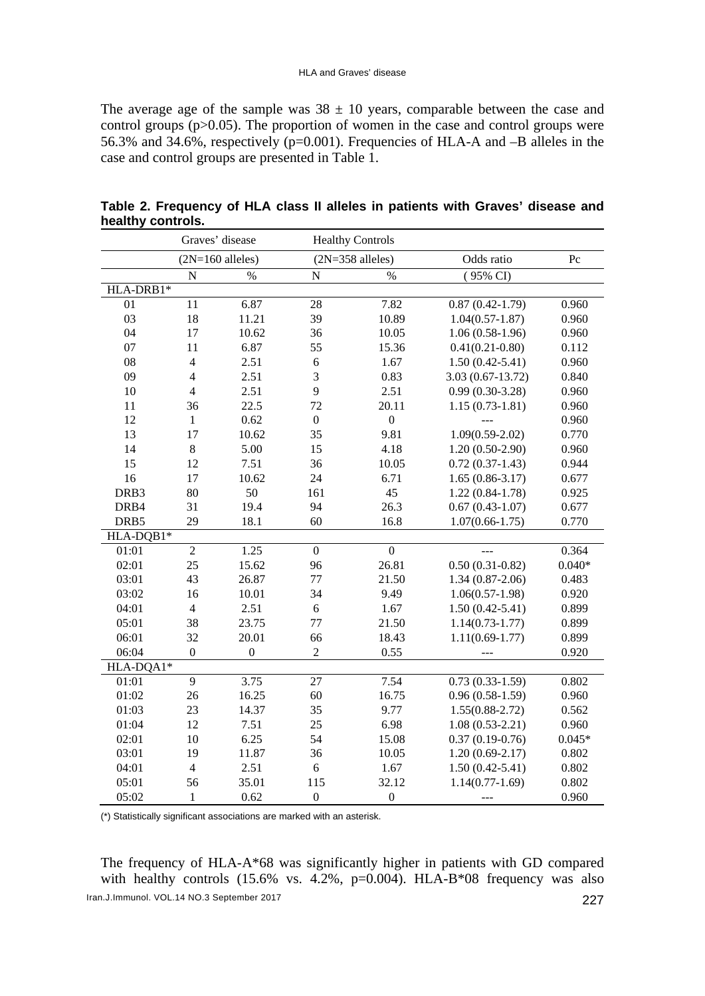The average age of the sample was  $38 \pm 10$  years, comparable between the case and control groups (p>0.05). The proportion of women in the case and control groups were 56.3% and 34.6%, respectively (p=0.001). Frequencies of HLA-A and –B alleles in the case and control groups are presented in Table 1.

|           | Graves' disease    |              |                  | <b>Healthy Controls</b> |                     |           |
|-----------|--------------------|--------------|------------------|-------------------------|---------------------|-----------|
|           | $(2N=160$ alleles) |              |                  | $(2N=358$ alleles)      | Odds ratio          | $\rm{P}c$ |
|           | $\mathbf N$        | $\%$         | $\overline{N}$   | $\%$                    | $(95\% \text{ CI})$ |           |
| HLA-DRB1* |                    |              |                  |                         |                     |           |
| 01        | 11                 | 6.87         | 28               | 7.82                    | $0.87(0.42 - 1.79)$ | 0.960     |
| 03        | 18                 | 11.21        | 39               | 10.89                   | $1.04(0.57-1.87)$   | 0.960     |
| 04        | 17                 | 10.62        | 36               | 10.05                   | $1.06(0.58-1.96)$   | 0.960     |
| 07        | 11                 | 6.87         | 55               | 15.36                   | $0.41(0.21-0.80)$   | 0.112     |
| 08        | $\overline{4}$     | 2.51         | $\sqrt{6}$       | 1.67                    | $1.50(0.42 - 5.41)$ | 0.960     |
| 09        | $\overline{4}$     | 2.51         | 3                | 0.83                    | $3.03(0.67-13.72)$  | 0.840     |
| 10        | $\overline{4}$     | 2.51         | 9                | 2.51                    | $0.99(0.30-3.28)$   | 0.960     |
| 11        | 36                 | 22.5         | 72               | 20.11                   | $1.15(0.73-1.81)$   | 0.960     |
| 12        | $\mathbf{1}$       | 0.62         | $\boldsymbol{0}$ | $\boldsymbol{0}$        |                     | 0.960     |
| 13        | 17                 | 10.62        | 35               | 9.81                    | $1.09(0.59-2.02)$   | 0.770     |
| 14        | $\,8\,$            | 5.00         | 15               | 4.18                    | $1.20(0.50-2.90)$   | 0.960     |
| 15        | 12                 | 7.51         | 36               | 10.05                   | $0.72(0.37-1.43)$   | 0.944     |
| 16        | 17                 | 10.62        | 24               | 6.71                    | $1.65(0.86-3.17)$   | 0.677     |
| DRB3      | 80                 | 50           | 161              | 45                      | $1.22(0.84-1.78)$   | 0.925     |
| DRB4      | 31                 | 19.4         | 94               | 26.3                    | $0.67(0.43-1.07)$   | 0.677     |
| DRB5      | 29                 | 18.1         | 60               | 16.8                    | $1.07(0.66 - 1.75)$ | 0.770     |
| HLA-DQB1* |                    |              |                  |                         |                     |           |
| 01:01     | $\overline{2}$     | 1.25         | $\mathbf{0}$     | $\overline{0}$          | بالباب              | 0.364     |
| 02:01     | 25                 | 15.62        | 96               | 26.81                   | $0.50(0.31-0.82)$   | $0.040*$  |
| 03:01     | 43                 | 26.87        | 77               | 21.50                   | $1.34(0.87-2.06)$   | 0.483     |
| 03:02     | 16                 | 10.01        | 34               | 9.49                    | $1.06(0.57-1.98)$   | 0.920     |
| 04:01     | $\overline{4}$     | 2.51         | 6                | 1.67                    | $1.50(0.42 - 5.41)$ | 0.899     |
| 05:01     | 38                 | 23.75        | 77               | 21.50                   | $1.14(0.73-1.77)$   | 0.899     |
| 06:01     | 32                 | 20.01        | 66               | 18.43                   | $1.11(0.69-1.77)$   | 0.899     |
| 06:04     | $\boldsymbol{0}$   | $\mathbf{0}$ | $\overline{2}$   | 0.55                    |                     | 0.920     |
| HLA-DQA1* |                    |              |                  |                         |                     |           |
| 01:01     | 9                  | 3.75         | 27               | 7.54                    | $0.73(0.33-1.59)$   | 0.802     |
| 01:02     | 26                 | 16.25        | 60               | 16.75                   | $0.96(0.58-1.59)$   | 0.960     |
| 01:03     | 23                 | 14.37        | 35               | 9.77                    | $1.55(0.88-2.72)$   | 0.562     |
| 01:04     | 12                 | 7.51         | 25               | 6.98                    | $1.08(0.53-2.21)$   | 0.960     |
| 02:01     | 10                 | 6.25         | 54               | 15.08                   | $0.37(0.19-0.76)$   | $0.045*$  |
| 03:01     | 19                 | 11.87        | 36               | 10.05                   | $1.20(0.69-2.17)$   | 0.802     |
| 04:01     | $\overline{4}$     | 2.51         | $\sqrt{6}$       | 1.67                    | $1.50(0.42 - 5.41)$ | 0.802     |
| 05:01     | 56                 | 35.01        | 115              | 32.12                   | $1.14(0.77-1.69)$   | 0.802     |
| 05:02     | $\mathbf{1}$       | 0.62         | $\boldsymbol{0}$ | $\boldsymbol{0}$        | ---                 | 0.960     |

| Table 2. Frequency of HLA class II alleles in patients with Graves' disease and |  |  |  |  |  |
|---------------------------------------------------------------------------------|--|--|--|--|--|
| healthy controls.                                                               |  |  |  |  |  |

(\*) Statistically significant associations are marked with an asterisk.

Iran.J.Immunol. VOL.14 NO.3 September 2017 227 The frequency of HLA-A\*68 was significantly higher in patients with GD compared with healthy controls  $(15.6\%$  vs.  $4.2\%$ ,  $p=0.004$ ). HLA-B\*08 frequency was also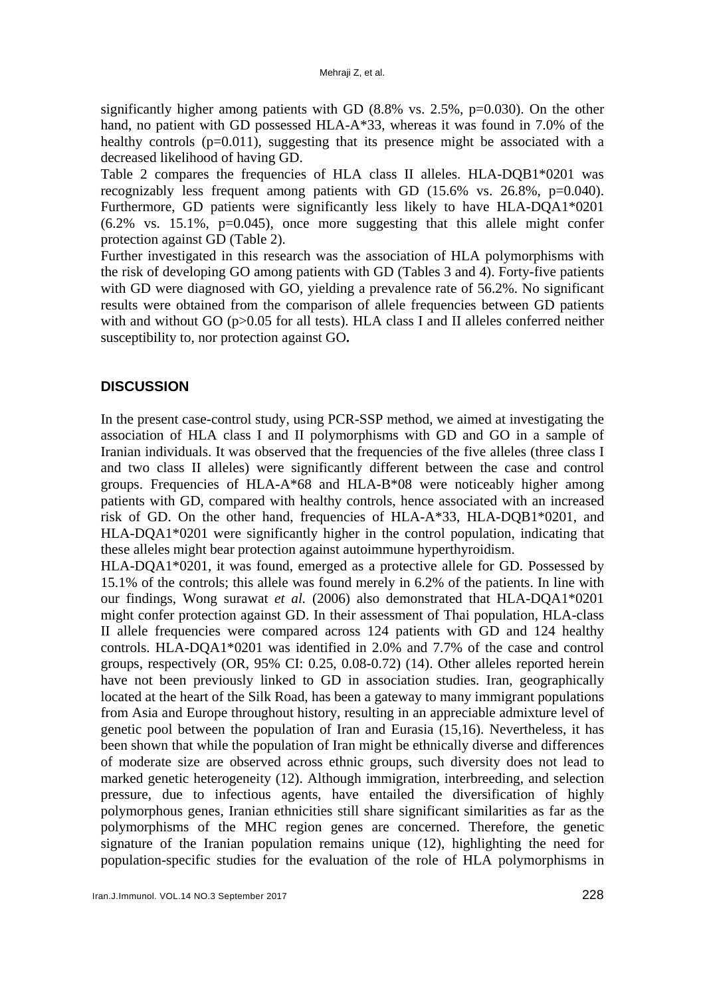significantly higher among patients with GD (8.8% vs. 2.5%, p=0.030). On the other hand, no patient with GD possessed HLA-A\*33, whereas it was found in 7.0% of the healthy controls  $(p=0.011)$ , suggesting that its presence might be associated with a decreased likelihood of having GD.

Table 2 compares the frequencies of HLA class II alleles. HLA-DQB1\*0201 was recognizably less frequent among patients with GD (15.6% vs. 26.8%, p=0.040). Furthermore, GD patients were significantly less likely to have HLA-DQA1\*0201 (6.2% vs. 15.1%, p=0.045), once more suggesting that this allele might confer protection against GD (Table 2).

Further investigated in this research was the association of HLA polymorphisms with the risk of developing GO among patients with GD (Tables 3 and 4). Forty-five patients with GD were diagnosed with GO, yielding a prevalence rate of 56.2%. No significant results were obtained from the comparison of allele frequencies between GD patients with and without GO (p>0.05 for all tests). HLA class I and II alleles conferred neither susceptibility to, nor protection against GO**.**

# **DISCUSSION**

In the present case-control study, using PCR-SSP method, we aimed at investigating the association of HLA class I and II polymorphisms with GD and GO in a sample of Iranian individuals. It was observed that the frequencies of the five alleles (three class I and two class II alleles) were significantly different between the case and control groups. Frequencies of HLA-A\*68 and HLA-B\*08 were noticeably higher among patients with GD, compared with healthy controls, hence associated with an increased risk of GD. On the other hand, frequencies of HLA-A\*33, HLA-DQB1\*0201, and HLA-DQA1\*0201 were significantly higher in the control population, indicating that these alleles might bear protection against autoimmune hyperthyroidism.

HLA-DQA1\*0201, it was found, emerged as a protective allele for GD. Possessed by 15.1% of the controls; this allele was found merely in 6.2% of the patients. In line with our findings, Wong surawat *et al.* (2006) also demonstrated that HLA-DQA1\*0201 might confer protection against GD. In their assessment of Thai population, HLA-class II allele frequencies were compared across 124 patients with GD and 124 healthy controls. HLA-DQA1\*0201 was identified in 2.0% and 7.7% of the case and control groups, respectively (OR, 95% CI: 0.25, 0.08-0.72) (14). Other alleles reported herein have not been previously linked to GD in association studies. Iran, geographically located at the heart of the Silk Road, has been a gateway to many immigrant populations from Asia and Europe throughout history, resulting in an appreciable admixture level of genetic pool between the population of Iran and Eurasia (15,16). Nevertheless, it has been shown that while the population of Iran might be ethnically diverse and differences of moderate size are observed across ethnic groups, such diversity does not lead to marked genetic heterogeneity (12). Although immigration, interbreeding, and selection pressure, due to infectious agents, have entailed the diversification of highly polymorphous genes, Iranian ethnicities still share significant similarities as far as the polymorphisms of the MHC region genes are concerned. Therefore, the genetic signature of the Iranian population remains unique (12), highlighting the need for population-specific studies for the evaluation of the role of HLA polymorphisms in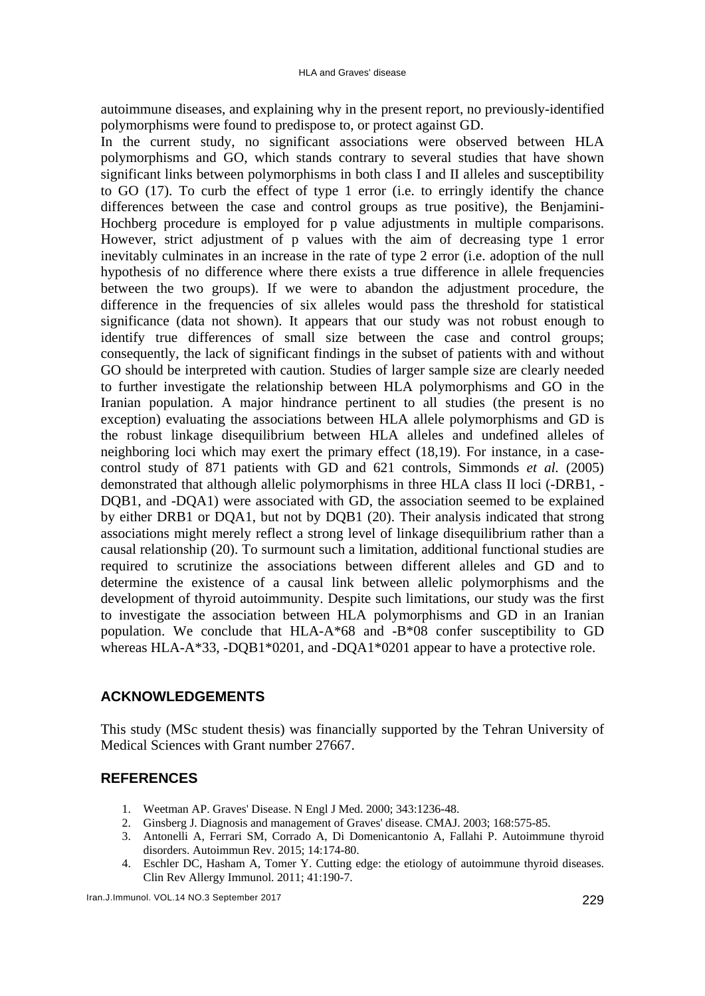autoimmune diseases, and explaining why in the present report, no previously-identified polymorphisms were found to predispose to, or protect against GD.

In the current study, no significant associations were observed between HLA polymorphisms and GO, which stands contrary to several studies that have shown significant links between polymorphisms in both class I and II alleles and susceptibility to GO (17). To curb the effect of type 1 error (i.e. to erringly identify the chance differences between the case and control groups as true positive), the Benjamini-Hochberg procedure is employed for p value adjustments in multiple comparisons. However, strict adjustment of p values with the aim of decreasing type 1 error inevitably culminates in an increase in the rate of type 2 error (i.e. adoption of the null hypothesis of no difference where there exists a true difference in allele frequencies between the two groups). If we were to abandon the adjustment procedure, the difference in the frequencies of six alleles would pass the threshold for statistical significance (data not shown). It appears that our study was not robust enough to identify true differences of small size between the case and control groups; consequently, the lack of significant findings in the subset of patients with and without GO should be interpreted with caution. Studies of larger sample size are clearly needed to further investigate the relationship between HLA polymorphisms and GO in the Iranian population. A major hindrance pertinent to all studies (the present is no exception) evaluating the associations between HLA allele polymorphisms and GD is the robust linkage disequilibrium between HLA alleles and undefined alleles of neighboring loci which may exert the primary effect (18,19). For instance, in a casecontrol study of 871 patients with GD and 621 controls, Simmonds *et al.* (2005) demonstrated that although allelic polymorphisms in three HLA class II loci (-DRB1, - DQB1, and -DQA1) were associated with GD, the association seemed to be explained by either DRB1 or DQA1, but not by DQB1 (20). Their analysis indicated that strong associations might merely reflect a strong level of linkage disequilibrium rather than a causal relationship (20). To surmount such a limitation, additional functional studies are required to scrutinize the associations between different alleles and GD and to determine the existence of a causal link between allelic polymorphisms and the development of thyroid autoimmunity. Despite such limitations, our study was the first to investigate the association between HLA polymorphisms and GD in an Iranian population. We conclude that HLA-A\*68 and -B\*08 confer susceptibility to GD whereas HLA-A\*33, -DQB1\*0201, and -DQA1\*0201 appear to have a protective role.

## **ACKNOWLEDGEMENTS**

This study (MSc student thesis) was financially supported by the Tehran University of Medical Sciences with Grant number 27667.

# **REFERENCES**

- 1. Weetman AP. Graves' Disease. N Engl J Med. 2000; 343:1236-48.
- 2. Ginsberg J. Diagnosis and management of Graves' disease. CMAJ. 2003; 168:575-85.
- 3. Antonelli A, Ferrari SM, Corrado A, Di Domenicantonio A, Fallahi P. Autoimmune thyroid disorders. Autoimmun Rev. 2015; 14:174-80.
- 4. Eschler DC, Hasham A, Tomer Y. Cutting edge: the etiology of autoimmune thyroid diseases. Clin Rev Allergy Immunol. 2011; 41:190-7.

Iran.J.Immunol. VOL.14 NO.3 September 2017 229